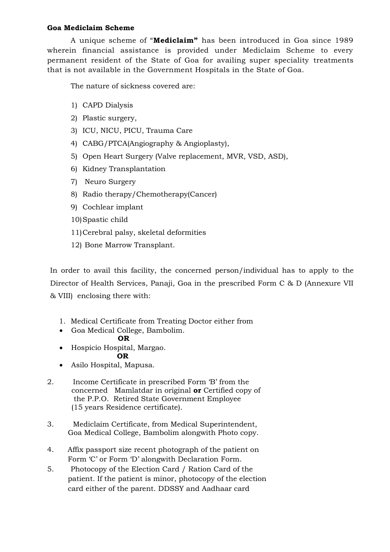## **Goa Mediclaim Scheme**

A unique scheme of "**Mediclaim"** has been introduced in Goa since 1989 wherein financial assistance is provided under Mediclaim Scheme to every permanent resident of the State of Goa for availing super speciality treatments that is not available in the Government Hospitals in the State of Goa.

The nature of sickness covered are:

- 1) CAPD Dialysis
- 2) Plastic surgery,
- 3) ICU, NICU, PICU, Trauma Care
- 4) CABG/PTCA(Angiography & Angioplasty),
- 5) Open Heart Surgery (Valve replacement, MVR, VSD, ASD),
- 6) Kidney Transplantation
- 7) Neuro Surgery
- 8) Radio therapy/Chemotherapy(Cancer)
- 9) Cochlear implant
- 10)Spastic child
- 11)Cerebral palsy, skeletal deformities
- 12) Bone Marrow Transplant.

In order to avail this facility, the concerned person/individual has to apply to the Director of Health Services, Panaji, Goa in the prescribed Form C & D (Annexure VII & VIII) enclosing there with:

- 1. Medical Certificate from Treating Doctor either from
- Goa Medical College, Bambolim.

## **OR**

- Hospicio Hospital, Margao. **OR**
- Asilo Hospital, Mapusa.
- 2. Income Certificate in prescribed Form 'B' from the concerned Mamlatdar in original **or** Certified copy of the P.P.O. Retired State Government Employee (15 years Residence certificate).
- 3. Mediclaim Certificate, from Medical Superintendent, Goa Medical College, Bambolim alongwith Photo copy.
- 4. Affix passport size recent photograph of the patient on Form 'C' or Form 'D' alongwith Declaration Form.
- 5. Photocopy of the Election Card / Ration Card of the patient. If the patient is minor, photocopy of the election card either of the parent. DDSSY and Aadhaar card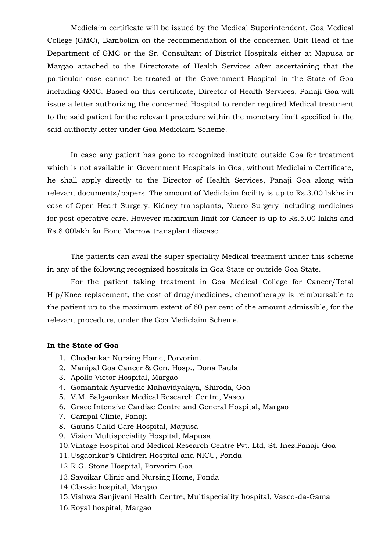Mediclaim certificate will be issued by the Medical Superintendent, Goa Medical College (GMC), Bambolim on the recommendation of the concerned Unit Head of the Department of GMC or the Sr. Consultant of District Hospitals either at Mapusa or Margao attached to the Directorate of Health Services after ascertaining that the particular case cannot be treated at the Government Hospital in the State of Goa including GMC. Based on this certificate, Director of Health Services, Panaji-Goa will issue a letter authorizing the concerned Hospital to render required Medical treatment to the said patient for the relevant procedure within the monetary limit specified in the said authority letter under Goa Mediclaim Scheme.

In case any patient has gone to recognized institute outside Goa for treatment which is not available in Government Hospitals in Goa, without Mediclaim Certificate, he shall apply directly to the Director of Health Services, Panaji Goa along with relevant documents/papers. The amount of Mediclaim facility is up to Rs.3.00 lakhs in case of Open Heart Surgery; Kidney transplants, Nuero Surgery including medicines for post operative care. However maximum limit for Cancer is up to Rs.5.00 lakhs and Rs.8.00lakh for Bone Marrow transplant disease.

The patients can avail the super speciality Medical treatment under this scheme in any of the following recognized hospitals in Goa State or outside Goa State.

For the patient taking treatment in Goa Medical College for Cancer/Total Hip/Knee replacement, the cost of drug/medicines, chemotherapy is reimbursable to the patient up to the maximum extent of 60 per cent of the amount admissible, for the relevant procedure, under the Goa Mediclaim Scheme.

## **In the State of Goa**

- 1. Chodankar Nursing Home, Porvorim.
- 2. Manipal Goa Cancer & Gen. Hosp., Dona Paula
- 3. Apollo Victor Hospital, Margao
- 4. Gomantak Ayurvedic Mahavidyalaya, Shiroda, Goa
- 5. V.M. Salgaonkar Medical Research Centre, Vasco
- 6. Grace Intensive Cardiac Centre and General Hospital, Margao
- 7. Campal Clinic, Panaji
- 8. Gauns Child Care Hospital, Mapusa
- 9. Vision Multispeciality Hospital, Mapusa
- 10.Vintage Hospital and Medical Research Centre Pvt. Ltd, St. Inez,Panaji-Goa
- 11.Usgaonkar's Children Hospital and NICU, Ponda
- 12.R.G. Stone Hospital, Porvorim Goa
- 13.Savoikar Clinic and Nursing Home, Ponda
- 14.Classic hospital, Margao
- 15.Vishwa Sanjivani Health Centre, Multispeciality hospital, Vasco-da-Gama
- 16.Royal hospital, Margao